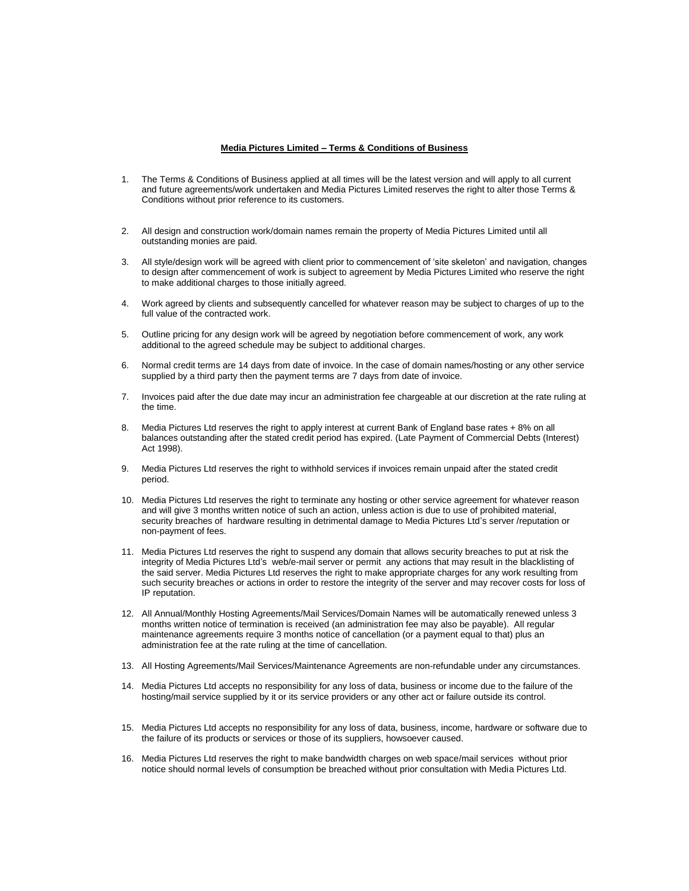## **Media Pictures Limited – Terms & Conditions of Business**

- 1. The Terms & Conditions of Business applied at all times will be the latest version and will apply to all current and future agreements/work undertaken and Media Pictures Limited reserves the right to alter those Terms & Conditions without prior reference to its customers.
- 2. All design and construction work/domain names remain the property of Media Pictures Limited until all outstanding monies are paid.
- 3. All style/design work will be agreed with client prior to commencement of 'site skeleton' and navigation, changes to design after commencement of work is subject to agreement by Media Pictures Limited who reserve the right to make additional charges to those initially agreed.
- 4. Work agreed by clients and subsequently cancelled for whatever reason may be subject to charges of up to the full value of the contracted work.
- 5. Outline pricing for any design work will be agreed by negotiation before commencement of work, any work additional to the agreed schedule may be subject to additional charges.
- 6. Normal credit terms are 14 days from date of invoice. In the case of domain names/hosting or any other service supplied by a third party then the payment terms are 7 days from date of invoice.
- 7. Invoices paid after the due date may incur an administration fee chargeable at our discretion at the rate ruling at the time.
- 8. Media Pictures Ltd reserves the right to apply interest at current Bank of England base rates + 8% on all balances outstanding after the stated credit period has expired. (Late Payment of Commercial Debts (Interest) Act 1998).
- 9. Media Pictures Ltd reserves the right to withhold services if invoices remain unpaid after the stated credit period.
- 10. Media Pictures Ltd reserves the right to terminate any hosting or other service agreement for whatever reason and will give 3 months written notice of such an action, unless action is due to use of prohibited material, security breaches of hardware resulting in detrimental damage to Media Pictures Ltd's server /reputation or non-payment of fees.
- 11. Media Pictures Ltd reserves the right to suspend any domain that allows security breaches to put at risk the integrity of Media Pictures Ltd's web/e-mail server or permit any actions that may result in the blacklisting of the said server. Media Pictures Ltd reserves the right to make appropriate charges for any work resulting from such security breaches or actions in order to restore the integrity of the server and may recover costs for loss of IP reputation.
- 12. All Annual/Monthly Hosting Agreements/Mail Services/Domain Names will be automatically renewed unless 3 months written notice of termination is received (an administration fee may also be payable). All regular maintenance agreements require 3 months notice of cancellation (or a payment equal to that) plus an administration fee at the rate ruling at the time of cancellation.
- 13. All Hosting Agreements/Mail Services/Maintenance Agreements are non-refundable under any circumstances.
- 14. Media Pictures Ltd accepts no responsibility for any loss of data, business or income due to the failure of the hosting/mail service supplied by it or its service providers or any other act or failure outside its control.
- 15. Media Pictures Ltd accepts no responsibility for any loss of data, business, income, hardware or software due to the failure of its products or services or those of its suppliers, howsoever caused.
- 16. Media Pictures Ltd reserves the right to make bandwidth charges on web space/mail services without prior notice should normal levels of consumption be breached without prior consultation with Media Pictures Ltd.